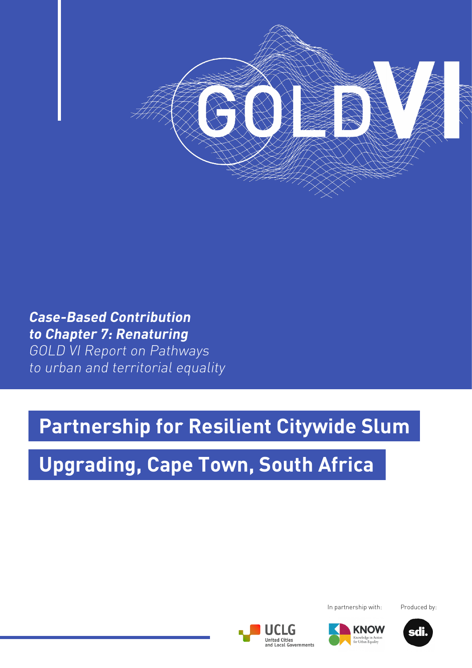

### **Case-Based Contribution to Chapter 7: Renaturing** GOLD VI Report on Pathways

to urban and territorial equality

## **Partnership for Resilient Citywide Slum**

# **Upgrading, Cape Town, South Africa**

In partnership with:







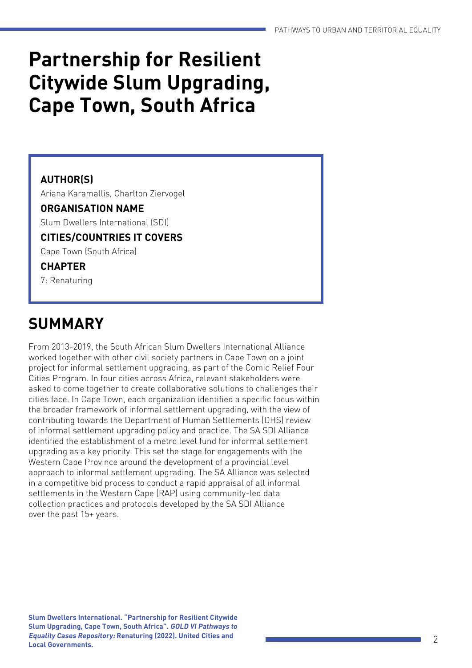### **Partnership for Resilient Citywide Slum Upgrading, Cape Town, South Africa**

#### **AUTHOR(S)**

Ariana Karamallis, Charlton Ziervogel

#### **ORGANISATION NAME**

Slum Dwellers International (SDI)

**CITIES/COUNTRIES IT COVERS**

Cape Town (South Africa)

#### **CHAPTER**

7: Renaturing

### **SUMMARY**

From 2013-2019, the South African Slum Dwellers International Alliance worked together with other civil society partners in Cape Town on a joint project for informal settlement upgrading, as part of the Comic Relief Four Cities Program. In four cities across Africa, relevant stakeholders were asked to come together to create collaborative solutions to challenges their cities face. In Cape Town, each organization identified a specific focus within the broader framework of informal settlement upgrading, with the view of contributing towards the Department of Human Settlements (DHS) review of informal settlement upgrading policy and practice. The SA SDI Alliance identified the establishment of a metro level fund for informal settlement upgrading as a key priority. This set the stage for engagements with the Western Cape Province around the development of a provincial level approach to informal settlement upgrading. The SA Alliance was selected in a competitive bid process to conduct a rapid appraisal of all informal settlements in the Western Cape (RAP) using community-led data collection practices and protocols developed by the SA SDI Alliance over the past 15+ years.

**Slum Dwellers International. "Partnership for Resilient Citywide Slum Upgrading, Cape Town, South Africa". GOLD VI Pathways to Equality Cases Repository: Renaturing (2022). United Cities and Local Governments.**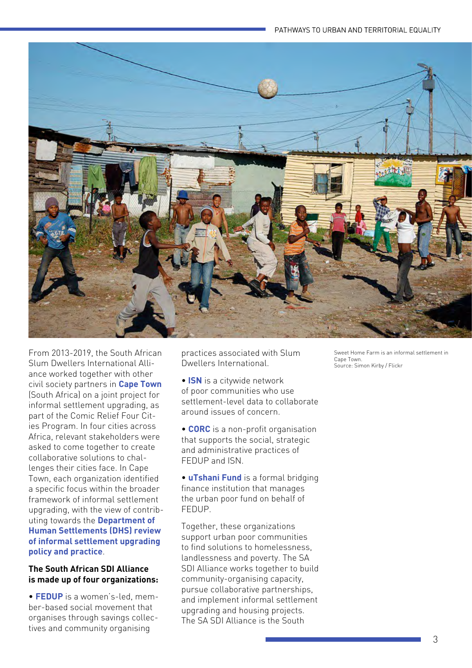

From 2013-2019, the South African Slum Dwellers International Alliance worked together with other civil society partners in **Cape Town**  (South Africa) on a joint project for informal settlement upgrading, as part of the Comic Relief Four Cities Program. In four cities across Africa, relevant stakeholders were asked to come together to create collaborative solutions to challenges their cities face. In Cape Town, each organization identified a specific focus within the broader framework of informal settlement upgrading, with the view of contributing towards the **Department of Human Settlements (DHS) review of informal settlement upgrading policy and practice**.

#### **The South African SDI Alliance is made up of four organizations:**

• **FEDUP** is a women's-led, member-based social movement that organises through savings collectives and community organising

practices associated with Slum Dwellers International.

• **ISN** is a citywide network of poor communities who use settlement-level data to collaborate around issues of concern.

• **CORC** is a non-profit organisation that supports the social, strategic and administrative practices of FEDUP and ISN.

• **uTshani Fund** is a formal bridging finance institution that manages the urban poor fund on behalf of FEDUP.

Together, these organizations support urban poor communities to find solutions to homelessness, landlessness and poverty. The SA SDI Alliance works together to build community-organising capacity, pursue collaborative partnerships, and implement informal settlement upgrading and housing projects. The SA SDI Alliance is the South

Sweet Home Farm is an informal settlement in Cape Town. Source: Simon Kirby / Flickr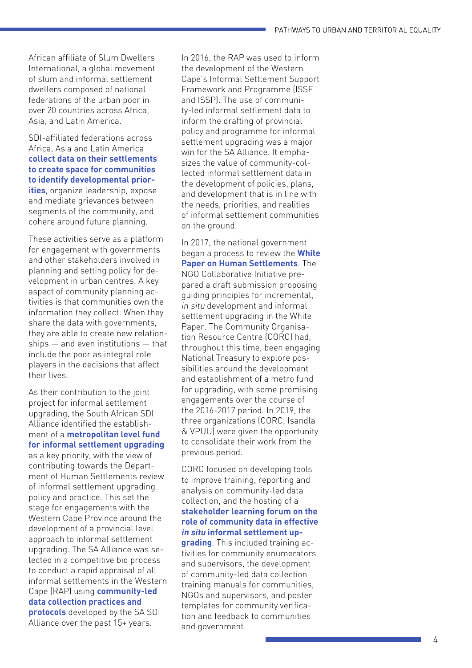African affiliate of Slum Dwellers International, a global movement of slum and informal settlement dwellers composed of national federations of the urban poor in over 20 countries across Africa, Asia, and Latin America.

SDI-affiliated federations across Africa, Asia and Latin America **collect data on their settlements to create space for communities to identify developmental prior ities**, organize leadership, expose and mediate grievances between segments of the community, and cohere around future planning.

These activities serve as a platform for engagement with governments and other stakeholders involved in planning and setting policy for de velopment in urban centres. A key aspect of community planning ac tivities is that communities own the information they collect. When they share the data with governments, they are able to create new relation ships — and even institutions — that include the poor as integral role players in the decisions that affect their lives.

As their contribution to the joint project for informal settlement upgrading, the South African SDI Alliance identified the establish ment of a **metropolitan level fund for informal settlement upgrading** as a key priority, with the view of contributing towards the Depart ment of Human Settlements review of informal settlement upgrading policy and practice. This set the stage for engagements with the Western Cape Province around the development of a provincial level approach to informal settlement upgrading. The SA Alliance was se lected in a competitive bid process to conduct a rapid appraisal of all informal settlements in the Western Cape (RAP) using **community-led data collection practices and protocols** developed by the SA SDI Alliance over the past 15+ years.

In 2016, the RAP was used to inform the development of the Western Cape's Informal Settlement Support Framework and Programme (ISSF and ISSP). The use of communi ty-led informal settlement data to inform the drafting of provincial policy and programme for informal settlement upgrading was a major win for the SA Alliance. It empha sizes the value of community-col lected informal settlement data in the development of policies, plans, and development that is in line with the needs, priorities, and realities of informal settlement communities on the ground.

PATHWAYS TO URBAN AND TERRITORIAL EQUALITY<br>ed to inform<br>western<br>ed to inform<br>memorial support<br>mme (ISSF<br>mme (ISSF)<br>and Support<br>tempha-<br>interaction symphals as a major<br>tempha-<br>interaction in the White<br>memorial relations<br>of In 2017, the national government began a process to review the **White Paper on Human Settlements**. The NGO Collaborative Initiative pre pared a draft submission proposing guiding principles for incremental, in situ development and informal settlement upgrading in the White Paper. The Community Organisa tion Resource Centre (CORC) had, throughout this time, been engaging National Treasury to explore pos sibilities around the development and establishment of a metro fund for upgrading, with some promising engagements over the course of the 2016-2017 period. In 2019, the three organizations (CORC, Isandla & VPUU) were given the opportunity to consolidate their work from the previous period.

CORC focused on developing tools to improve training, reporting and analysis on community-led data collection, and the hosting of a **stakeholder learning forum on the role of community data in effective in situ informal settlement up -**

**grading**. This included training ac tivities for community enumerators and supervisors, the development of community-led data collection training manuals for communities, NGOs and supervisors, and poster templates for community verifica tion and feedback to communities and government.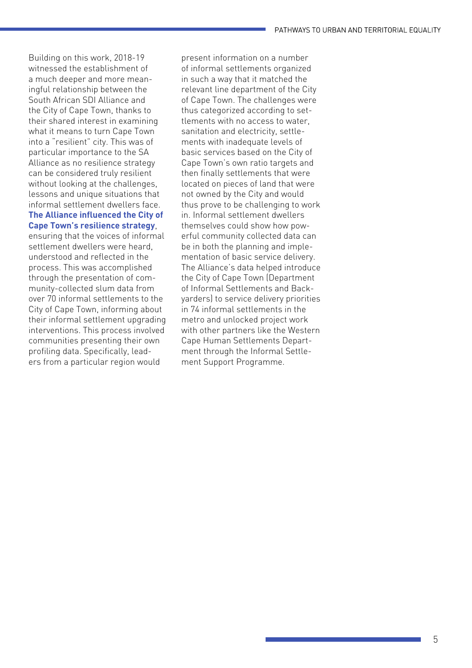Building on this work, 2018-19 witnessed the establishment of a much deeper and more meaningful relationship between the South African SDI Alliance and the City of Cape Town, thanks to their shared interest in examining what it means to turn Cape Town into a "resilient" city. This was of particular importance to the SA Alliance as no resilience strategy can be considered truly resilient without looking at the challenges, lessons and unique situations that informal settlement dwellers face. **The Alliance influenced the City of Cape Town's resilience strategy**, ensuring that the voices of informal settlement dwellers were heard understood and reflected in the process. This was accomplished through the presentation of community-collected slum data from over 70 informal settlements to the City of Cape Town, informing about their informal settlement upgrading interventions. This process involved communities presenting their own

profiling data. Specifically, leaders from a particular region would

present information on a number of informal settlements organized in such a way that it matched the relevant line department of the City of Cape Town. The challenges were thus categorized according to settlements with no access to water, sanitation and electricity, settlements with inadequate levels of basic services based on the City of Cape Town's own ratio targets and then finally settlements that were located on pieces of land that were not owned by the City and would thus prove to be challenging to work in. Informal settlement dwellers themselves could show how powerful community collected data can be in both the planning and implementation of basic service delivery. The Alliance's data helped introduce the City of Cape Town (Department of Informal Settlements and Backyarders) to service delivery priorities in 74 informal settlements in the metro and unlocked project work with other partners like the Western Cape Human Settlements Department through the Informal Settlement Support Programme.